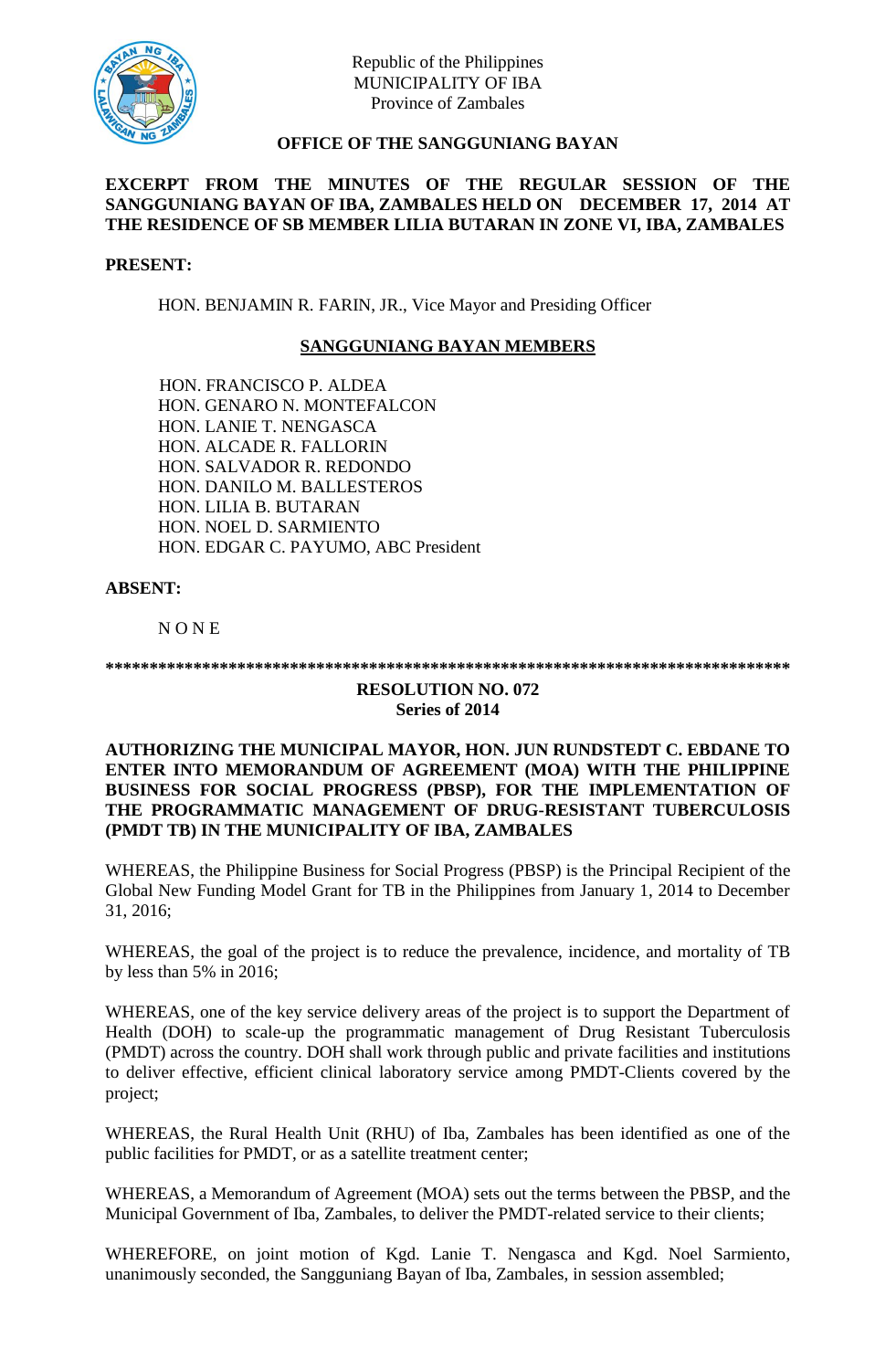

Republic of the Philippines MUNICIPALITY OF IBA Province of Zambales

# **OFFICE OF THE SANGGUNIANG BAYAN**

# **EXCERPT FROM THE MINUTES OF THE REGULAR SESSION OF THE SANGGUNIANG BAYAN OF IBA, ZAMBALES HELD ON DECEMBER 17, 2014 AT THE RESIDENCE OF SB MEMBER LILIA BUTARAN IN ZONE VI, IBA, ZAMBALES**

#### **PRESENT:**

HON. BENJAMIN R. FARIN, JR., Vice Mayor and Presiding Officer

# **SANGGUNIANG BAYAN MEMBERS**

HON. FRANCISCO P. ALDEA HON. GENARO N. MONTEFALCON HON. LANIE T. NENGASCA HON. ALCADE R. FALLORIN HON. SALVADOR R. REDONDO HON. DANILO M. BALLESTEROS HON. LILIA B. BUTARAN HON. NOEL D. SARMIENTO HON. EDGAR C. PAYUMO, ABC President

### **ABSENT:**

N O N E

**\*\*\*\*\*\*\*\*\*\*\*\*\*\*\*\*\*\*\*\*\*\*\*\*\*\*\*\*\*\*\*\*\*\*\*\*\*\*\*\*\*\*\*\*\*\*\*\*\*\*\*\*\*\*\*\*\*\*\*\*\*\*\*\*\*\*\*\*\*\*\*\*\*\*\*\*\*\***

#### **RESOLUTION NO. 072 Series of 2014**

### **AUTHORIZING THE MUNICIPAL MAYOR, HON. JUN RUNDSTEDT C. EBDANE TO ENTER INTO MEMORANDUM OF AGREEMENT (MOA) WITH THE PHILIPPINE BUSINESS FOR SOCIAL PROGRESS (PBSP), FOR THE IMPLEMENTATION OF THE PROGRAMMATIC MANAGEMENT OF DRUG-RESISTANT TUBERCULOSIS (PMDT TB) IN THE MUNICIPALITY OF IBA, ZAMBALES**

WHEREAS, the Philippine Business for Social Progress (PBSP) is the Principal Recipient of the Global New Funding Model Grant for TB in the Philippines from January 1, 2014 to December 31, 2016;

WHEREAS, the goal of the project is to reduce the prevalence, incidence, and mortality of TB by less than 5% in 2016;

WHEREAS, one of the key service delivery areas of the project is to support the Department of Health (DOH) to scale-up the programmatic management of Drug Resistant Tuberculosis (PMDT) across the country. DOH shall work through public and private facilities and institutions to deliver effective, efficient clinical laboratory service among PMDT-Clients covered by the project;

WHEREAS, the Rural Health Unit (RHU) of Iba, Zambales has been identified as one of the public facilities for PMDT, or as a satellite treatment center;

WHEREAS, a Memorandum of Agreement (MOA) sets out the terms between the PBSP, and the Municipal Government of Iba, Zambales, to deliver the PMDT-related service to their clients;

WHEREFORE, on joint motion of Kgd. Lanie T. Nengasca and Kgd. Noel Sarmiento, unanimously seconded, the Sangguniang Bayan of Iba, Zambales, in session assembled;